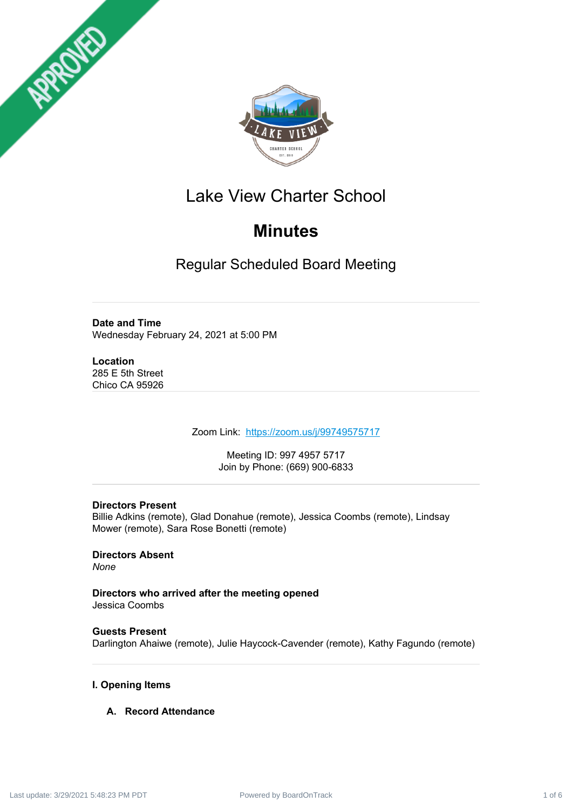



# Lake View Charter School

# **Minutes**

Regular Scheduled Board Meeting

# **Date and Time**

Wednesday February 24, 2021 at 5:00 PM

## **Location**

285 E 5th Street Chico CA 95926

Zoom Link: <https://zoom.us/j/99749575717>

Meeting ID: 997 4957 5717 Join by Phone: (669) 900-6833

## **Directors Present**

Billie Adkins (remote), Glad Donahue (remote), Jessica Coombs (remote), Lindsay Mower (remote), Sara Rose Bonetti (remote)

# **Directors Absent**

*None*

**Directors who arrived after the meeting opened** Jessica Coombs

# **Guests Present**

Darlington Ahaiwe (remote), Julie Haycock-Cavender (remote), Kathy Fagundo (remote)

## **I. Opening Items**

## **A. Record Attendance**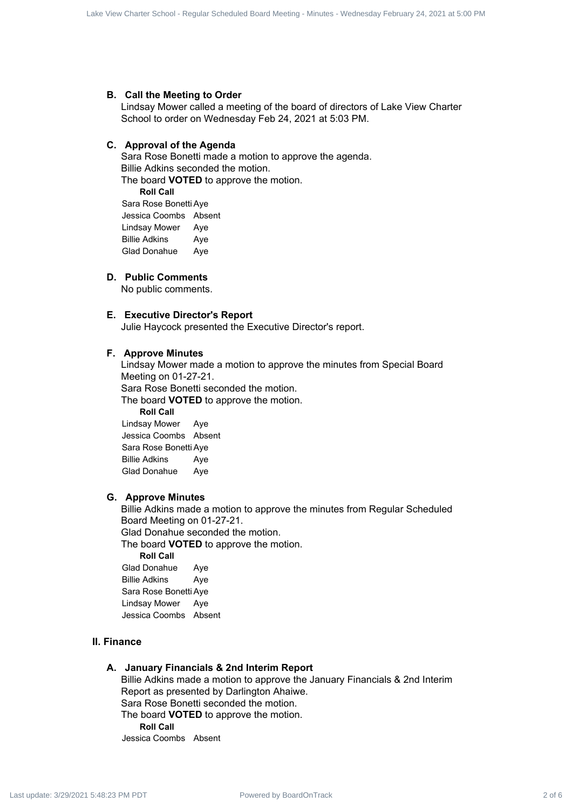#### **B. Call the Meeting to Order**

Lindsay Mower called a meeting of the board of directors of Lake View Charter School to order on Wednesday Feb 24, 2021 at 5:03 PM.

#### **C. Approval of the Agenda**

Sara Rose Bonetti made a motion to approve the agenda. Billie Adkins seconded the motion. The board **VOTED** to approve the motion. **Roll Call** Sara Rose Bonetti Aye Jessica Coombs Absent Lindsay Mower Aye

Billie Adkins Aye Glad Donahue Aye

#### **D. Public Comments**

No public comments.

#### **E. Executive Director's Report**

Julie Haycock presented the Executive Director's report.

#### **F. Approve Minutes**

Lindsay Mower made a motion to approve the minutes from Special Board Meeting on 01-27-21. Sara Rose Bonetti seconded the motion. The board **VOTED** to approve the motion. **Roll Call** Lindsay Mower Aye Jessica Coombs Absent Sara Rose Bonetti Aye Billie Adkins Aye Box View Charter Scheduled Board Board Charter Scheduled Board Charter Scheduled Board Charter School - Regular Scheduled Board Meeting - Minutes - Wednesday February 24, 2021 at 5:00 PM Last update:  $\frac{1}{2}$  at 5:00 PM

Glad Donahue Aye

#### **G. Approve Minutes**

Billie Adkins made a motion to approve the minutes from Regular Scheduled Board Meeting on 01-27-21. Glad Donahue seconded the motion.

The board **VOTED** to approve the motion.

**Roll Call** Glad Donahue Aye Billie Adkins Aye Sara Rose Bonetti Aye Lindsay Mower Aye Jessica Coombs Absent

#### **II. Finance**

#### **A. January Financials & 2nd Interim Report**

Billie Adkins made a motion to approve the January Financials & 2nd Interim Report as presented by Darlington Ahaiwe. Sara Rose Bonetti seconded the motion. The board **VOTED** to approve the motion. **Roll Call** Jessica Coombs Absent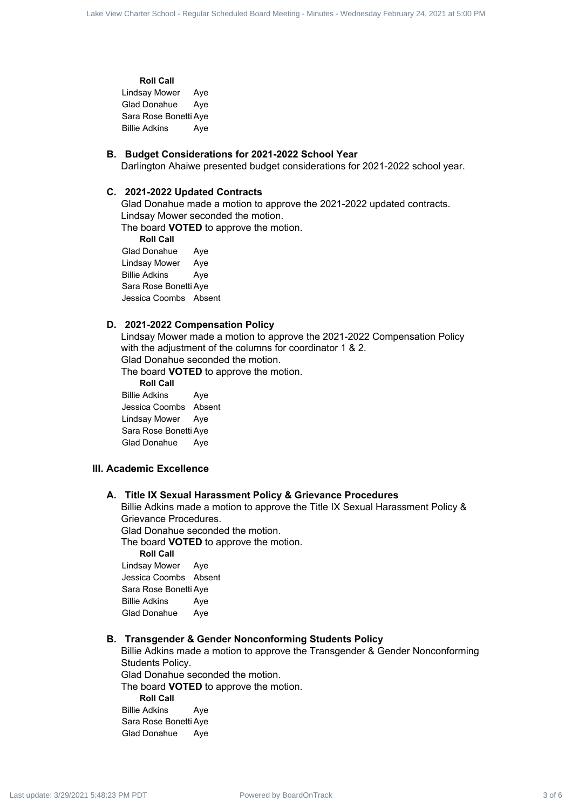**Roll Call**

Lindsay Mower Aye Glad Donahue Aye Sara Rose Bonetti Aye Billie Adkins Aye

#### **B. Budget Considerations for 2021-2022 School Year**

Darlington Ahaiwe presented budget considerations for 2021-2022 school year.

#### **C. 2021-2022 Updated Contracts**

Glad Donahue made a motion to approve the 2021-2022 updated contracts. Lindsay Mower seconded the motion.

The board **VOTED** to approve the motion.

**Roll Call**

Glad Donahue Aye Lindsay Mower Aye Billie Adkins Aye Sara Rose Bonetti Aye Jessica Coombs Absent

#### **D. 2021-2022 Compensation Policy**

Lindsay Mower made a motion to approve the 2021-2022 Compensation Policy with the adjustment of the columns for coordinator 1 & 2. Glad Donahue seconded the motion.

The board **VOTED** to approve the motion.

**Roll Call**

Billie Adkins Aye Jessica Coombs Absent Lindsay Mower Aye Sara Rose Bonetti Aye Glad Donahue Aye

#### **III. Academic Excellence**

#### **A. Title IX Sexual Harassment Policy & Grievance Procedures**

Billie Adkins made a motion to approve the Title IX Sexual Harassment Policy & Grievance Procedures. Glad Donahue seconded the motion. The board **VOTED** to approve the motion. **Roll Call** Lindsay Mower Aye

Jessica Coombs Absent Sara Rose Bonetti Aye Billie Adkins Aye Glad Donahue Aye

#### **B. Transgender & Gender Nonconforming Students Policy**

Billie Adkins made a motion to approve the Transgender & Gender Nonconforming Students Policy. Glad Donahue seconded the motion. The board **VOTED** to approve the motion. **Roll Call** Billie Adkins Aye Sara Rose Bonetti Aye Glad Donahue Aye Box View Charter 3 of 6 Lake View Charter 3 of 6 Lake View Charter 3 of 6 Lake View Charter School - Apple Charter School - Apple Charter School - Apple Charter School - Apple Charter School - Apple Charter School - Minut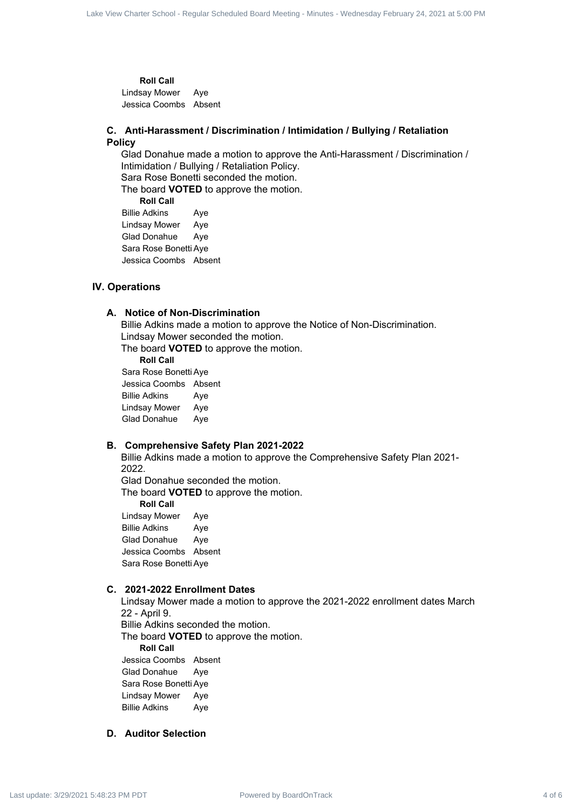**Roll Call** Lindsay Mower Aye Jessica Coombs Absent

#### **C. Anti-Harassment / Discrimination / Intimidation / Bullying / Retaliation Policy**

Glad Donahue made a motion to approve the Anti-Harassment / Discrimination / Intimidation / Bullying / Retaliation Policy. Sara Rose Bonetti seconded the motion. The board **VOTED** to approve the motion. **Roll Call** Billie Adkins Aye Lindsay Mower Aye Box View Charter Scheduled Board Wiew Charter Scheduled Board Age<br>
Looks A oceanical Age<br>
Looks Oceanical Age<br>
Charter Scheduled Board<br>
Charter Scheduled Board Meeting - Minutes - Minutes - Minutes - Minutes - Wednesday F

Glad Donahue Aye Sara Rose Bonetti Aye Jessica Coombs Absent

#### **IV. Operations**

#### **A. Notice of Non-Discrimination**

Billie Adkins made a motion to approve the Notice of Non-Discrimination. Lindsay Mower seconded the motion.

The board **VOTED** to approve the motion.

**Roll Call** Sara Rose Bonetti Aye Jessica Coombs Absent Billie Adkins Aye Lindsay Mower Aye Glad Donahue Aye

#### **B. Comprehensive Safety Plan 2021-2022**

Billie Adkins made a motion to approve the Comprehensive Safety Plan 2021- 2022. Glad Donahue seconded the motion.

The board **VOTED** to approve the motion.

**Roll Call**

Lindsay Mower Aye Billie Adkins Aye Glad Donahue Aye Jessica Coombs Absent Sara Rose Bonetti Aye

#### **C. 2021-2022 Enrollment Dates**

Lindsay Mower made a motion to approve the 2021-2022 enrollment dates March 22 - April 9. Billie Adkins seconded the motion. The board **VOTED** to approve the motion. **Roll Call**

Jessica Coombs Absent Glad Donahue Aye Sara Rose Bonetti Aye Lindsay Mower Aye Billie Adkins Aye

#### **D. Auditor Selection**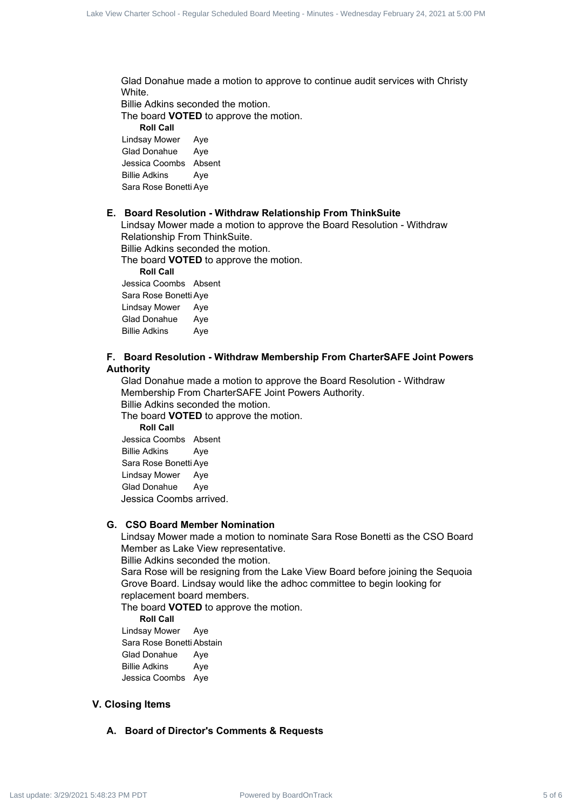Glad Donahue made a motion to approve to continue audit services with Christy White. Billie Adkins seconded the motion.

The board **VOTED** to approve the motion. **Roll Call** Lindsay Mower Aye Glad Donahue Aye Jessica Coombs Absent

Billie Adkins Aye Sara Rose Bonetti Aye

#### **E. Board Resolution - Withdraw Relationship From ThinkSuite**

Lindsay Mower made a motion to approve the Board Resolution - Withdraw Relationship From ThinkSuite.

Billie Adkins seconded the motion.

The board **VOTED** to approve the motion.

**Roll Call**

Jessica Coombs Absent Sara Rose Bonetti Aye Lindsay Mower Aye Glad Donahue Aye Billie Adkins Aye

#### **F. Board Resolution - Withdraw Membership From CharterSAFE Joint Powers Authority**

Glad Donahue made a motion to approve the Board Resolution - Withdraw Membership From CharterSAFE Joint Powers Authority. Billie Adkins seconded the motion. The board **VOTED** to approve the motion. Box 2 of Carter Schedule 2 of 6 Lake View Charter Schedule and Schedule And Schedule And Schedule And Schedule Board Schedule Board Meeting - Minutes - Wednesday February 24, 2021<br>
Power of a Lake View Charter Schedule Bo

**Roll Call** Jessica Coombs Absent Billie Adkins Aye Sara Rose Bonetti Aye Lindsay Mower Aye Glad Donahue Aye Jessica Coombs arrived.

#### **G. CSO Board Member Nomination**

Lindsay Mower made a motion to nominate Sara Rose Bonetti as the CSO Board Member as Lake View representative.

Billie Adkins seconded the motion.

Sara Rose will be resigning from the Lake View Board before joining the Sequoia Grove Board. Lindsay would like the adhoc committee to begin looking for replacement board members.

The board **VOTED** to approve the motion.

**Roll Call**

Lindsay Mower Aye Sara Rose Bonetti Abstain Glad Donahue Aye Billie Adkins Aye Jessica Coombs Aye

#### **V. Closing Items**

#### **A. Board of Director's Comments & Requests**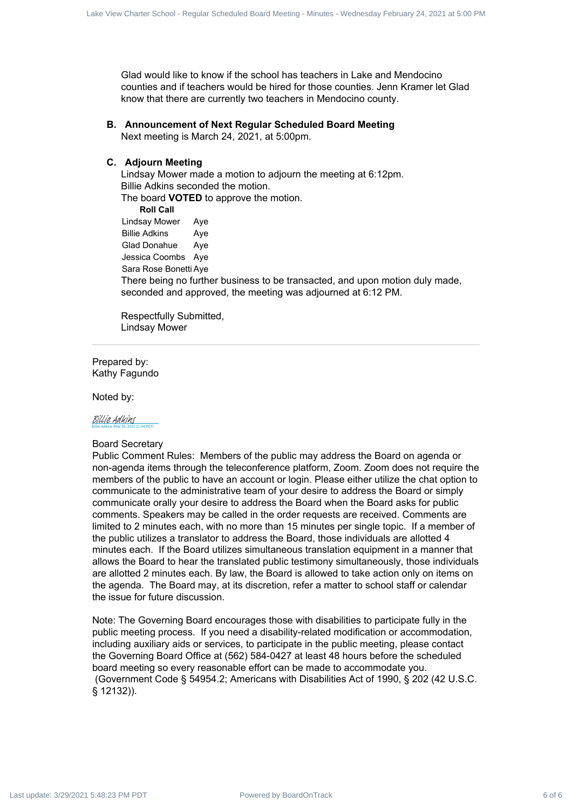Glad would like to know if the school has teachers in Lake and Mendocino counties and if teachers would be hired for those counties. Jenn Kramer let Glad know that there are currently two teachers in Mendocino county.

#### **B. Announcement of Next Regular Scheduled Board Meeting**

Next meeting is March 24, 2021, at 5:00pm.

#### **C. Adjourn Meeting**

Lindsay Mower made a motion to adjourn the meeting at 6:12pm. Billie Adkins seconded the motion. The board **VOTED** to approve the motion.

**Roll Call** Lindsay Mower Aye Billie Adkins Aye Glad Donahue Aye Jessica Coombs Aye Sara Rose Bonetti Aye There being no further business to be transacted, and upon motion duly made, seconded and approved, the meeting was adjourned at 6:12 PM.

Respectfully Submitted, Lindsay Mower

Prepared by: Kathy Fagundo

Noted by:

#### Billie Adkins (Mar 30, 2021 21:04 PDT) [Billie Adkins](https://na1.documents.adobe.com/verifier?tx=CBJCHBCAABAAFdxIfEZydcu2hbZLmwTJViYR6Ft41azF)

#### Board Secretary

Public Comment Rules: Members of the public may address the Board on agenda or non-agenda items through the teleconference platform, Zoom. Zoom does not require the members of the public to have an account or login. Please either utilize the chat option to communicate to the administrative team of your desire to address the Board or simply communicate orally your desire to address the Board when the Board asks for public comments. Speakers may be called in the order requests are received. Comments are limited to 2 minutes each, with no more than 15 minutes per single topic. If a member of the public utilizes a translator to address the Board, those individuals are allotted 4 minutes each. If the Board utilizes simultaneous translation equipment in a manner that allows the Board to hear the translated public testimony simultaneously, those individuals are allotted 2 minutes each. By law, the Board is allowed to take action only on items on the agenda. The Board may, at its discretion, refer a matter to school staff or calendar the issue for future discussion. Use of exchange by Board Board Board Board Board Board Board Board Board Board Board Board Board Board Board Board Board Board Board Board Board Board Board Board Board Board Board Board Board Board Board Board Board Bo

Note: The Governing Board encourages those with disabilities to participate fully in the public meeting process. If you need a disability-related modification or accommodation, including auxiliary aids or services, to participate in the public meeting, please contact the Governing Board Office at (562) 584-0427 at least 48 hours before the scheduled board meeting so every reasonable effort can be made to accommodate you. (Government Code § 54954.2; Americans with Disabilities Act of 1990, § 202 (42 U.S.C. § 12132)).